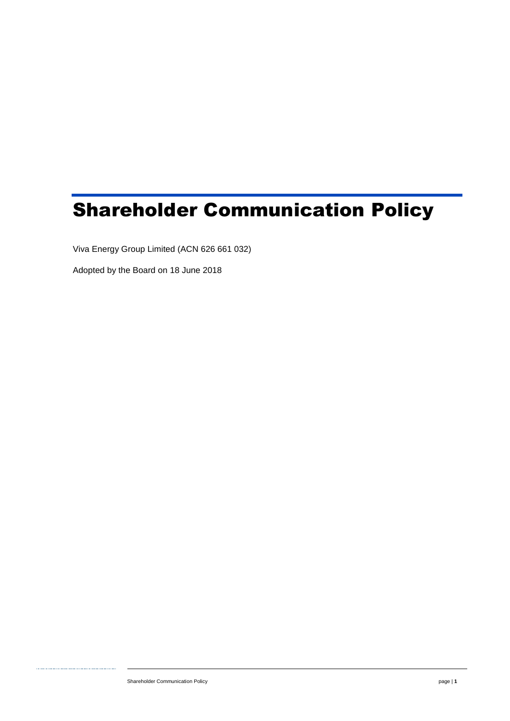# Shareholder Communication Policy

Viva Energy Group Limited (ACN 626 661 032)

Adopted by the Board on 18 June 2018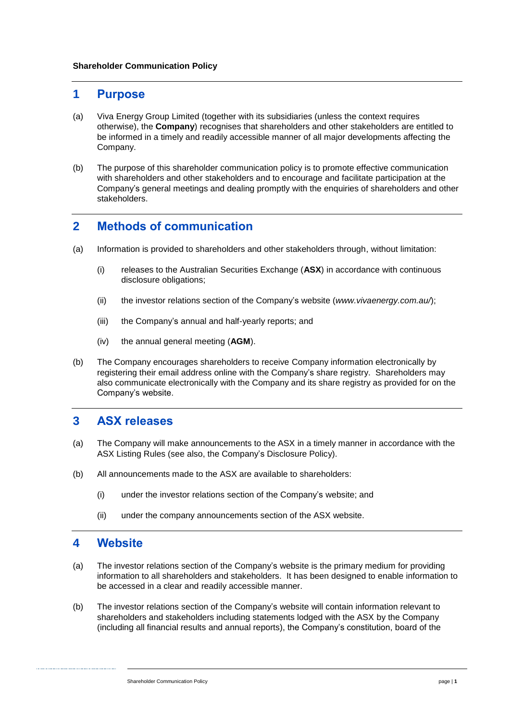#### **1 Purpose**

- (a) Viva Energy Group Limited (together with its subsidiaries (unless the context requires otherwise), the **Company**) recognises that shareholders and other stakeholders are entitled to be informed in a timely and readily accessible manner of all major developments affecting the Company.
- (b) The purpose of this shareholder communication policy is to promote effective communication with shareholders and other stakeholders and to encourage and facilitate participation at the Company's general meetings and dealing promptly with the enquiries of shareholders and other stakeholders.

## **2 Methods of communication**

- (a) Information is provided to shareholders and other stakeholders through, without limitation:
	- (i) releases to the Australian Securities Exchange (**ASX**) in accordance with continuous disclosure obligations;
	- (ii) the investor relations section of the Company's website (*www.vivaenergy.com.au/*);
	- (iii) the Company's annual and half-yearly reports; and
	- (iv) the annual general meeting (**AGM**).
- (b) The Company encourages shareholders to receive Company information electronically by registering their email address online with the Company's share registry. Shareholders may also communicate electronically with the Company and its share registry as provided for on the Company's website.

#### **3 ASX releases**

- (a) The Company will make announcements to the ASX in a timely manner in accordance with the ASX Listing Rules (see also, the Company's Disclosure Policy).
- (b) All announcements made to the ASX are available to shareholders:
	- (i) under the investor relations section of the Company's website; and
	- (ii) under the company announcements section of the ASX website.

#### **4 Website**

- (a) The investor relations section of the Company's website is the primary medium for providing information to all shareholders and stakeholders. It has been designed to enable information to be accessed in a clear and readily accessible manner.
- (b) The investor relations section of the Company's website will contain information relevant to shareholders and stakeholders including statements lodged with the ASX by the Company (including all financial results and annual reports), the Company's constitution, board of the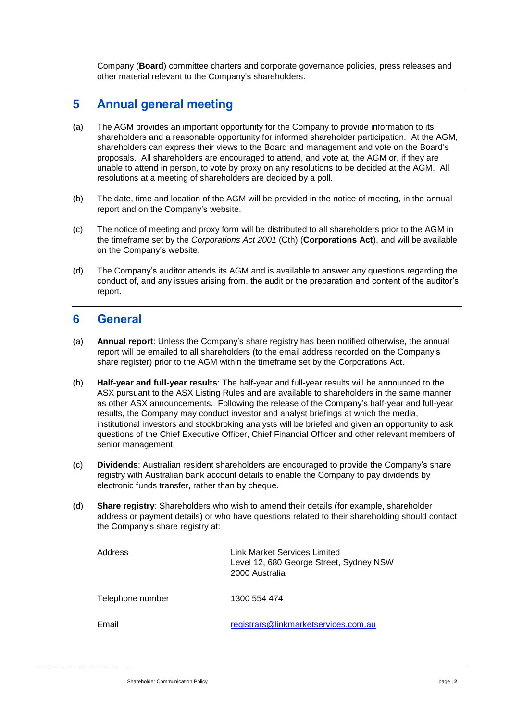Company (**Board**) committee charters and corporate governance policies, press releases and other material relevant to the Company's shareholders.

## **5 Annual general meeting**

- (a) The AGM provides an important opportunity for the Company to provide information to its shareholders and a reasonable opportunity for informed shareholder participation. At the AGM, shareholders can express their views to the Board and management and vote on the Board's proposals. All shareholders are encouraged to attend, and vote at, the AGM or, if they are unable to attend in person, to vote by proxy on any resolutions to be decided at the AGM. All resolutions at a meeting of shareholders are decided by a poll.
- (b) The date, time and location of the AGM will be provided in the notice of meeting, in the annual report and on the Company's website.
- (c) The notice of meeting and proxy form will be distributed to all shareholders prior to the AGM in the timeframe set by the *Corporations Act 2001* (Cth) (**Corporations Act**), and will be available on the Company's website.
- (d) The Company's auditor attends its AGM and is available to answer any questions regarding the conduct of, and any issues arising from, the audit or the preparation and content of the auditor's report.

## **6 General**

- (a) **Annual report**: Unless the Company's share registry has been notified otherwise, the annual report will be emailed to all shareholders (to the email address recorded on the Company's share register) prior to the AGM within the timeframe set by the Corporations Act.
- (b) **Half-year and full-year results**: The half-year and full-year results will be announced to the ASX pursuant to the ASX Listing Rules and are available to shareholders in the same manner as other ASX announcements. Following the release of the Company's half-year and full-year results, the Company may conduct investor and analyst briefings at which the media, institutional investors and stockbroking analysts will be briefed and given an opportunity to ask questions of the Chief Executive Officer, Chief Financial Officer and other relevant members of senior management.
- (c) **Dividends**: Australian resident shareholders are encouraged to provide the Company's share registry with Australian bank account details to enable the Company to pay dividends by electronic funds transfer, rather than by cheque.
- (d) **Share registry**: Shareholders who wish to amend their details (for example, shareholder address or payment details) or who have questions related to their shareholding should contact the Company's share registry at:

| Address          | Link Market Services Limited<br>Level 12, 680 George Street, Sydney NSW<br>2000 Australia |
|------------------|-------------------------------------------------------------------------------------------|
| Telephone number | 1300 554 474                                                                              |
| Email            | registrars@linkmarketservices.com.au                                                      |